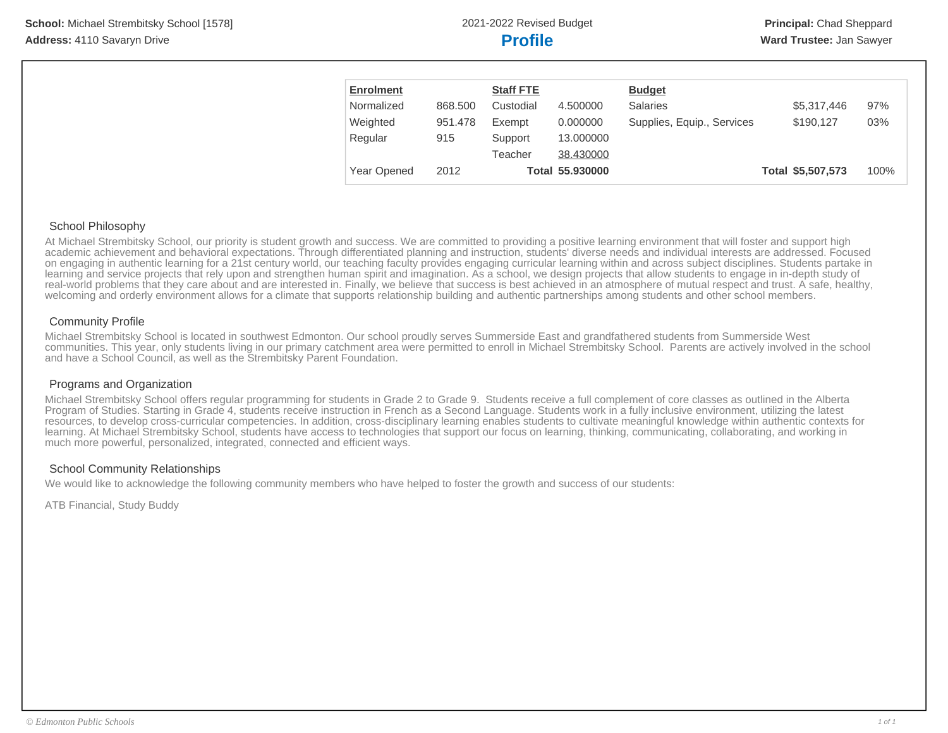| <b>Enrolment</b> |         | <b>Staff FTE</b> |                 | <b>Budget</b>              |                   |      |
|------------------|---------|------------------|-----------------|----------------------------|-------------------|------|
| Normalized       | 868,500 | Custodial        | 4.500000        | <b>Salaries</b>            | \$5,317,446       | 97%  |
| Weighted         | 951.478 | Exempt           | 0.000000        | Supplies, Equip., Services | \$190.127         | 03%  |
| Regular          | 915     | Support          | 13,000000       |                            |                   |      |
|                  |         | Teacher          | 38.430000       |                            |                   |      |
| Year Opened      | 2012    |                  | Total 55.930000 |                            | Total \$5,507,573 | 100% |

## School Philosophy

At Michael Strembitsky School, our priority is student growth and success. We are committed to providing a positive learning environment that will foster and support high academic achievement and behavioral expectations. Through differentiated planning and instruction, students' diverse needs and individual interests are addressed. Focused on engaging in authentic learning for a 21st century world, our teaching faculty provides engaging curricular learning within and across subject disciplines. Students partake in learning and service projects that rely upon and strengthen human spirit and imagination. As a school, we design projects that allow students to engage in in-depth study of real-world problems that they care about and are interested in. Finally, we believe that success is best achieved in an atmosphere of mutual respect and trust. A safe, healthy, welcoming and orderly environment allows for a climate that supports relationship building and authentic partnerships among students and other school members.

# Community Profile

Michael Strembitsky School is located in southwest Edmonton. Our school proudly serves Summerside East and grandfathered students from Summerside West communities. This year, only students living in our primary catchment area were permitted to enroll in Michael Strembitsky School. Parents are actively involved in the school and have a School Council, as well as the Strembitsky Parent Foundation.

# Programs and Organization

Michael Strembitsky School offers regular programming for students in Grade 2 to Grade 9. Students receive a full complement of core classes as outlined in the Alberta Program of Studies. Starting in Grade 4, students receive instruction in French as a Second Language. Students work in a fully inclusive environment, utilizing the latest resources, to develop cross-curricular competencies. In addition, cross-disciplinary learning enables students to cultivate meaningful knowledge within authentic contexts for learning. At Michael Strembitsky School, students have access to technologies that support our focus on learning, thinking, communicating, collaborating, and working in much more powerful, personalized, integrated, connected and efficient ways.

# School Community Relationships

We would like to acknowledge the following community members who have helped to foster the growth and success of our students:

ATB Financial, Study Buddy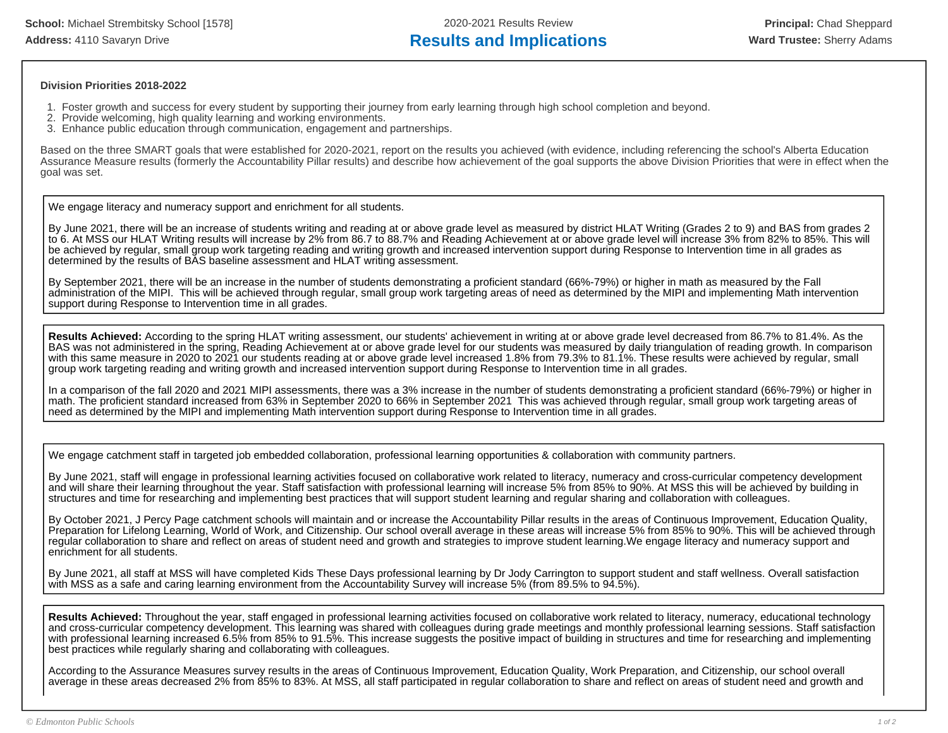#### **Division Priorities 2018-2022**

- 1. Foster growth and success for every student by supporting their journey from early learning through high school completion and beyond.
- 2. Provide welcoming, high quality learning and working environments.
- 3. Enhance public education through communication, engagement and partnerships.

Based on the three SMART goals that were established for 2020-2021, report on the results you achieved (with evidence, including referencing the school's Alberta Education Assurance Measure results (formerly the Accountability Pillar results) and describe how achievement of the goal supports the above Division Priorities that were in effect when the goal was set.

We engage literacy and numeracy support and enrichment for all students.

By June 2021, there will be an increase of students writing and reading at or above grade level as measured by district HLAT Writing (Grades 2 to 9) and BAS from grades 2 to 6. At MSS our HLAT Writing results will increase by 2% from 86.7 to 88.7% and Reading Achievement at or above grade level will increase 3% from 82% to 85%. This will be achieved by regular, small group work targeting reading and writing growth and increased intervention support during Response to Intervention time in all grades as determined by the results of BAS baseline assessment and HLAT writing assessment.

By September 2021, there will be an increase in the number of students demonstrating a proficient standard (66%-79%) or higher in math as measured by the Fall administration of the MIPI. This will be achieved through regular, small group work targeting areas of need as determined by the MIPI and implementing Math intervention support during Response to Intervention time in all grades.

**Results Achieved:** According to the spring HLAT writing assessment, our students' achievement in writing at or above grade level decreased from 86.7% to 81.4%. As the BAS was not administered in the spring, Reading Achievement at or above grade level for our students was measured by daily triangulation of reading growth. In comparison with this same measure in 2020 to 2021 our students reading at or above grade level increased 1.8% from 79.3% to 81.1%. These results were achieved by regular, small group work targeting reading and writing growth and increased intervention support during Response to Intervention time in all grades.

In a comparison of the fall 2020 and 2021 MIPI assessments, there was a 3% increase in the number of students demonstrating a proficient standard (66%-79%) or higher in math. The proficient standard increased from 63% in September 2020 to 66% in September 2021 This was achieved through regular, small group work targeting areas of need as determined by the MIPI and implementing Math intervention support during Response to Intervention time in all grades.

We engage catchment staff in targeted job embedded collaboration, professional learning opportunities & collaboration with community partners.

By June 2021, staff will engage in professional learning activities focused on collaborative work related to literacy, numeracy and cross-curricular competency development and will share their learning throughout the year. Staff satisfaction with professional learning will increase 5% from 85% to 90%. At MSS this will be achieved by building in structures and time for researching and implementing best practices that will support student learning and regular sharing and collaboration with colleagues.

By October 2021, J Percy Page catchment schools will maintain and or increase the Accountability Pillar results in the areas of Continuous Improvement, Education Quality, Preparation for Lifelong Learning, World of Work, and Citizenship. Our school overall average in these areas will increase 5% from 85% to 90%. This will be achieved through regular collaboration to share and reflect on areas of student need and growth and strategies to improve student learning.We engage literacy and numeracy support and enrichment for all students.

By June 2021, all staff at MSS will have completed Kids These Days professional learning by Dr Jody Carrington to support student and staff wellness. Overall satisfaction with MSS as a safe and caring learning environment from the Accountability Survey will increase 5% (from 89.5% to 94.5%).

**Results Achieved:** Throughout the year, staff engaged in professional learning activities focused on collaborative work related to literacy, numeracy, educational technology and cross-curricular competency development. This learning was shared with colleagues during grade meetings and monthly professional learning sessions. Staff satisfaction with professional learning increased 6.5% from 85% to 91.5%. This increase suggests the positive impact of building in structures and time for researching and implementing best practices while regularly sharing and collaborating with colleagues.

According to the Assurance Measures survey results in the areas of Continuous Improvement, Education Quality, Work Preparation, and Citizenship, our school overall average in these areas decreased 2% from 85% to 83%. At MSS, all staff participated in regular collaboration to share and reflect on areas of student need and growth and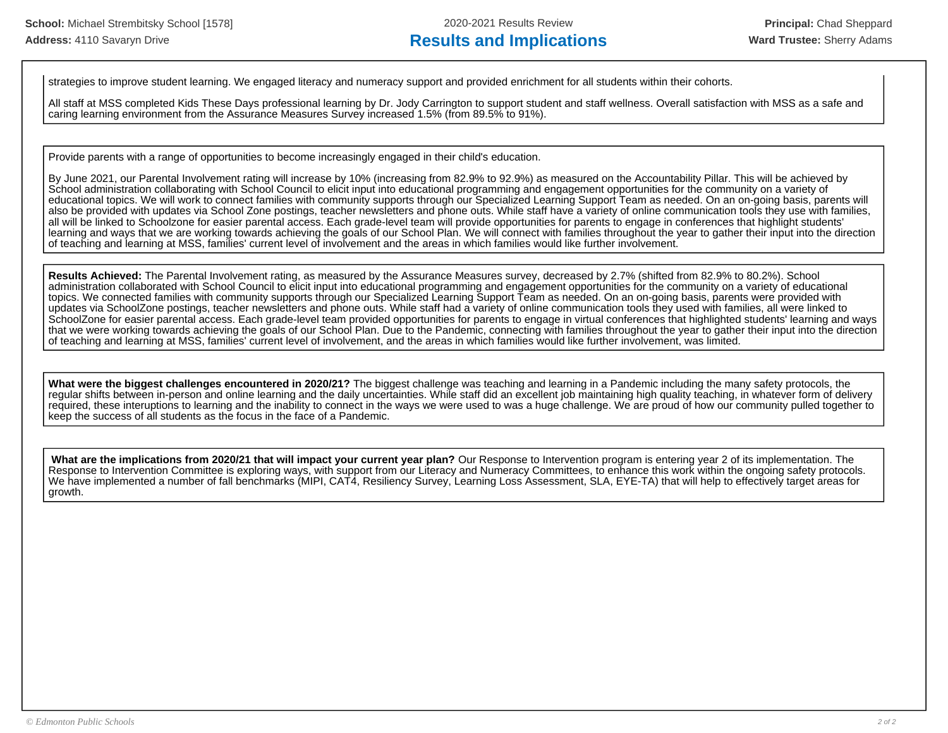strategies to improve student learning. We engaged literacy and numeracy support and provided enrichment for all students within their cohorts.

All staff at MSS completed Kids These Days professional learning by Dr. Jody Carrington to support student and staff wellness. Overall satisfaction with MSS as a safe and caring learning environment from the Assurance Measures Survey increased 1.5% (from 89.5% to 91%).

Provide parents with a range of opportunities to become increasingly engaged in their child's education.

By June 2021, our Parental Involvement rating will increase by 10% (increasing from 82.9% to 92.9%) as measured on the Accountability Pillar. This will be achieved by School administration collaborating with School Council to elicit input into educational programming and engagement opportunities for the community on a variety of educational topics. We will work to connect families with community supports through our Specialized Learning Support Team as needed. On an on-going basis, parents will also be provided with updates via School Zone postings, teacher newsletters and phone outs. While staff have a variety of online communication tools they use with families, all will be linked to Schoolzone for easier parental access. Each grade-level team will provide opportunities for parents to engage in conferences that highlight students' learning and ways that we are working towards achieving the goals of our School Plan. We will connect with families throughout the year to gather their input into the direction of teaching and learning at MSS, families' current level of involvement and the areas in which families would like further involvement.

**Results Achieved:** The Parental Involvement rating, as measured by the Assurance Measures survey, decreased by 2.7% (shifted from 82.9% to 80.2%). School administration collaborated with School Council to elicit input into educational programming and engagement opportunities for the community on a variety of educational topics. We connected families with community supports through our Specialized Learning Support Team as needed. On an on-going basis, parents were provided with updates via SchoolZone postings, teacher newsletters and phone outs. While staff had a variety of online communication tools they used with families, all were linked to SchoolZone for easier parental access. Each grade-level team provided opportunities for parents to engage in virtual conferences that highlighted students' learning and ways that we were working towards achieving the goals of our School Plan. Due to the Pandemic, connecting with families throughout the year to gather their input into the direction of teaching and learning at MSS, families' current level of involvement, and the areas in which families would like further involvement, was limited.

**What were the biggest challenges encountered in 2020/21?** The biggest challenge was teaching and learning in a Pandemic including the many safety protocols, the regular shifts between in-person and online learning and the daily uncertainties. While staff did an excellent job maintaining high quality teaching, in whatever form of delivery required, these interuptions to learning and the inability to connect in the ways we were used to was a huge challenge. We are proud of how our community pulled together to keep the success of all students as the focus in the face of a Pandemic.

 **What are the implications from 2020/21 that will impact your current year plan?** Our Response to Intervention program is entering year 2 of its implementation. The Response to Intervention Committee is exploring ways, with support from our Literacy and Numeracy Committees, to enhance this work within the ongoing safety protocols. We have implemented a number of fall benchmarks (MIPI, CAT4, Resiliency Survey, Learning Loss Assessment, SLA, EYE-TA) that will help to effectively target areas for growth.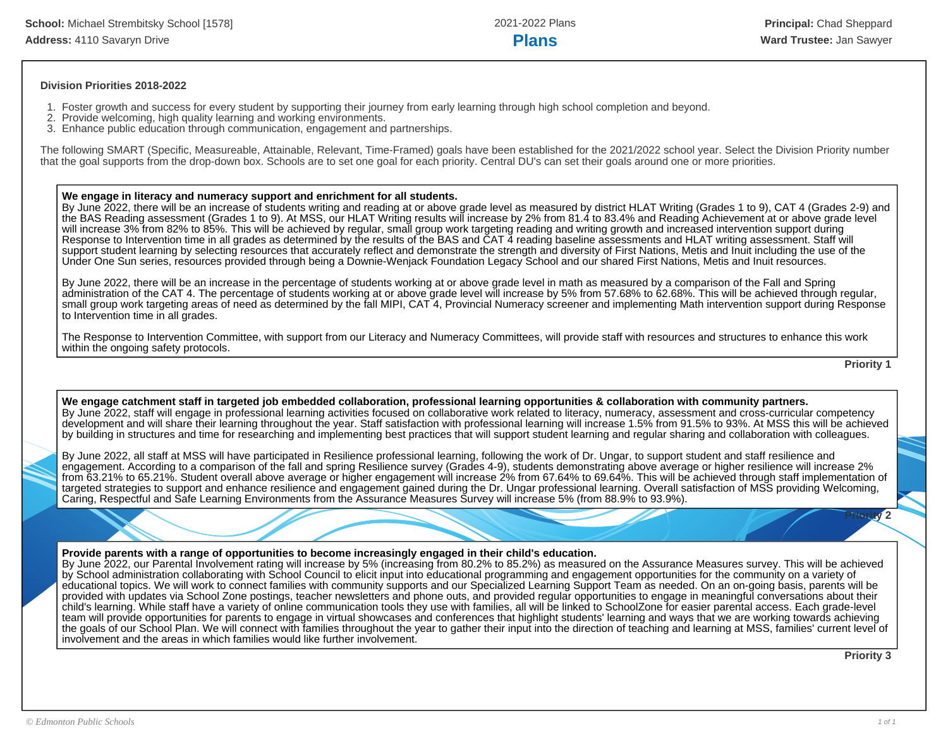#### **Division Priorities 2018-2022**

- 1. Foster growth and success for every student by supporting their journey from early learning through high school completion and beyond.
- 2. Provide welcoming, high quality learning and working environments.
- 3. Enhance public education through communication, engagement and partnerships.

The following SMART (Specific, Measureable, Attainable, Relevant, Time-Framed) goals have been established for the 2021/2022 school year. Select the Division Priority number that the goal supports from the drop-down box. Schools are to set one goal for each priority. Central DU's can set their goals around one or more priorities.

#### **We engage in literacy and numeracy support and enrichment for all students.**

By June 2022, there will be an increase of students writing and reading at or above grade level as measured by district HLAT Writing (Grades 1 to 9), CAT 4 (Grades 2-9) and the BAS Reading assessment (Grades 1 to 9). At MSS, our HLAT Writing results will increase by 2% from 81.4 to 83.4% and Reading Achievement at or above grade level will increase 3% from 82% to 85%. This will be achieved by regular, small group work targeting reading and writing growth and increased intervention support during Response to Intervention time in all grades as determined by the results of the BAS and CAT 4 reading baseline assessments and HLAT writing assessment. Staff will support student learning by selecting resources that accurately reflect and demonstrate the strength and diversity of First Nations, Metis and Inuit including the use of the Under One Sun series, resources provided through being a Downie-Wenjack Foundation Legacy School and our shared First Nations, Metis and Inuit resources.

By June 2022, there will be an increase in the percentage of students working at or above grade level in math as measured by a comparison of the Fall and Spring administration of the CAT 4. The percentage of students working at or above grade level will increase by 5% from 57.68% to 62.68%. This will be achieved through regular, small group work targeting areas of need as determined by the fall MIPI, CAT 4, Provincial Numeracy screener and implementing Math intervention support during Response to Intervention time in all grades.

The Response to Intervention Committee, with support from our Literacy and Numeracy Committees, will provide staff with resources and structures to enhance this work within the ongoing safety protocols.

**Priority 1**

### **We engage catchment staff in targeted job embedded collaboration, professional learning opportunities & collaboration with community partners.**

By June 2022, staff will engage in professional learning activities focused on collaborative work related to literacy, numeracy, assessment and cross-curricular competency development and will share their learning throughout the year. Staff satisfaction with professional learning will increase 1.5% from 91.5% to 93%. At MSS this will be achieved by building in structures and time for researching and implementing best practices that will support student learning and regular sharing and collaboration with colleagues.

By June 2022, all staff at MSS will have participated in Resilience professional learning, following the work of Dr. Ungar, to support student and staff resilience and engagement. According to a comparison of the fall and spring Resilience survey (Grades 4-9), students demonstrating above average or higher resilience will increase 2% from 63.21% to 65.21%. Student overall above average or higher engagement will increase 2% from 67.64% to 69.64%. This will be achieved through staff implementation of targeted strategies to support and enhance resilience and engagement gained during the Dr. Ungar professional learning. Overall satisfaction of MSS providing Welcoming, Caring, Respectful and Safe Learning Environments from the Assurance Measures Survey will increase 5% (from 88.9% to 93.9%).

#### **Provide parents with a range of opportunities to become increasingly engaged in their child's education.**

By June 2022, our Parental Involvement rating will increase by 5% (increasing from 80.2% to 85.2%) as measured on the Assurance Measures survey. This will be achieved by School administration collaborating with School Council to elicit input into educational programming and engagement opportunities for the community on a variety of educational topics. We will work to connect families with community supports and our Specialized Learning Support Team as needed. On an on-going basis, parents will be provided with updates via School Zone postings, teacher newsletters and phone outs, and provided regular opportunities to engage in meaningful conversations about their child's learning. While staff have a variety of online communication tools they use with families, all will be linked to SchoolZone for easier parental access. Each grade-level team will provide opportunities for parents to engage in virtual showcases and conferences that highlight students' learning and ways that we are working towards achieving the goals of our School Plan. We will connect with families throughout the year to gather their input into the direction of teaching and learning at MSS, families' current level of involvement and the areas in which families would like further involvement.

**Priority 3**

**Priority 2**